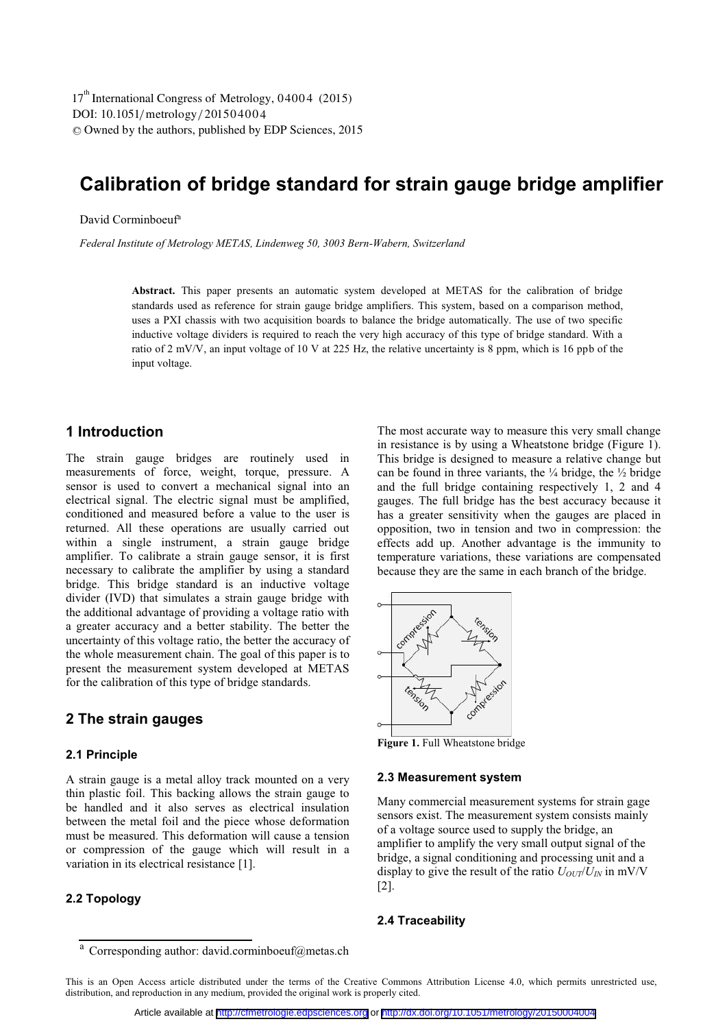DOI: 10.1051/metrology/201504004 -<sup>C</sup> Owned by the authors, published by EDP Sciences, 2015 17<sup>th</sup> International Congress of Metrology, 04004 (2015)

# **Calibration of bridge standard for strain gauge bridge amplifier**

#### David Corminboeuf<sup>a</sup>

*Federal Institute of Metrology METAS, Lindenweg 50, 3003 Bern-Wabern, Switzerland* 

**Abstract.** This paper presents an automatic system developed at METAS for the calibration of bridge standards used as reference for strain gauge bridge amplifiers. This system, based on a comparison method, uses a PXI chassis with two acquisition boards to balance the bridge automatically. The use of two specific inductive voltage dividers is required to reach the very high accuracy of this type of bridge standard. With a ratio of 2 mV/V, an input voltage of 10 V at 225 Hz, the relative uncertainty is 8 ppm, which is 16 ppb of the input voltage.

# **1 Introduction**

The strain gauge bridges are routinely used in measurements of force, weight, torque, pressure. A sensor is used to convert a mechanical signal into an electrical signal. The electric signal must be amplified, conditioned and measured before a value to the user is returned. All these operations are usually carried out within a single instrument, a strain gauge bridge amplifier. To calibrate a strain gauge sensor, it is first necessary to calibrate the amplifier by using a standard bridge. This bridge standard is an inductive voltage divider (IVD) that simulates a strain gauge bridge with the additional advantage of providing a voltage ratio with a greater accuracy and a better stability. The better the uncertainty of this voltage ratio, the better the accuracy of the whole measurement chain. The goal of this paper is to present the measurement system developed at METAS for the calibration of this type of bridge standards.

# **2 The strain gauges**

#### **2.1 Principle**

A strain gauge is a metal alloy track mounted on a very thin plastic foil. This backing allows the strain gauge to be handled and it also serves as electrical insulation between the metal foil and the piece whose deformation must be measured. This deformation will cause a tension or compression of the gauge which will result in a variation in its electrical resistance [1].

#### **2.2 Topology**

The most accurate way to measure this very small change in resistance is by using a Wheatstone bridge (Figure 1). This bridge is designed to measure a relative change but can be found in three variants, the  $\frac{1}{4}$  bridge, the  $\frac{1}{2}$  bridge and the full bridge containing respectively 1, 2 and 4 gauges. The full bridge has the best accuracy because it has a greater sensitivity when the gauges are placed in opposition, two in tension and two in compression: the effects add up. Another advantage is the immunity to temperature variations, these variations are compensated because they are the same in each branch of the bridge.



**Figure 1.** Full Wheatstone bridge

#### **2.3 Measurement system**

Many commercial measurement systems for strain gage sensors exist. The measurement system consists mainly of a voltage source used to supply the bridge, an amplifier to amplify the very small output signal of the bridge, a signal conditioning and processing unit and a display to give the result of the ratio  $U_{OUT}/U_{IN}$  in mV/V [2].

#### **2.4 Traceability**

a Corresponding author: david.corminboeuf@metas.ch

This is an Open Access article distributed under the terms of the Creative Commons Attribution License 4.0, which permits unrestricted use, distribution, and reproduction in any medium, provided the original work is properly cited.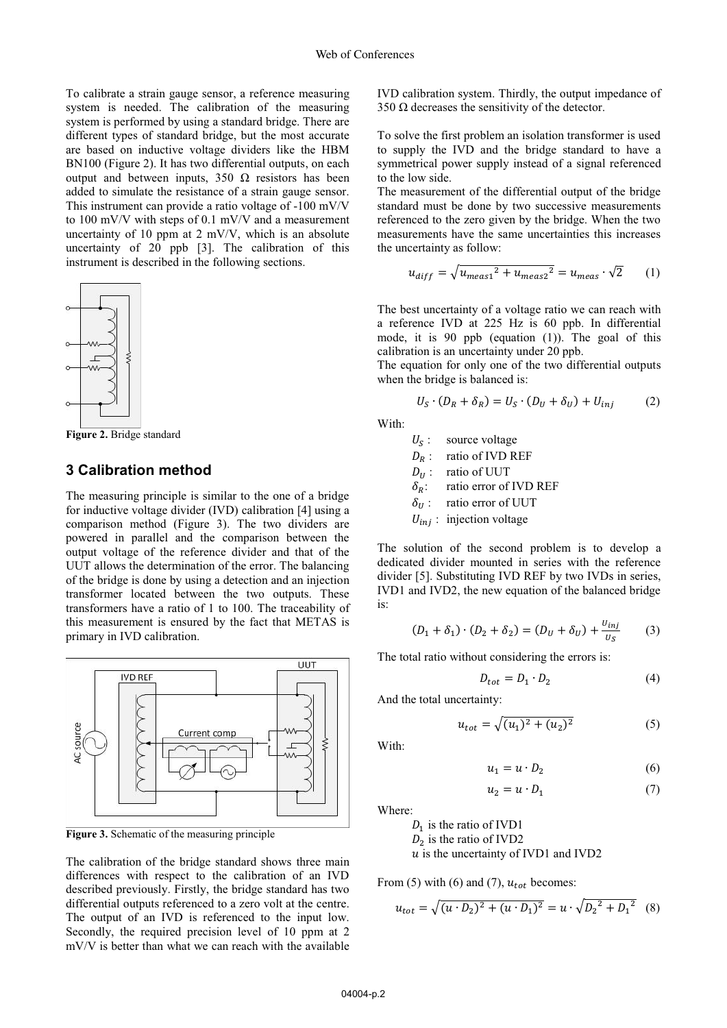To calibrate a strain gauge sensor, a reference measuring system is needed. The calibration of the measuring system is performed by using a standard bridge. There are different types of standard bridge, but the most accurate are based on inductive voltage dividers like the HBM BN100 (Figure 2). It has two differential outputs, on each output and between inputs, 350 Ω resistors has been added to simulate the resistance of a strain gauge sensor. This instrument can provide a ratio voltage of -100 mV/V to 100 mV/V with steps of 0.1 mV/V and a measurement uncertainty of 10 ppm at 2 mV/V, which is an absolute uncertainty of 20 ppb [3]. The calibration of this instrument is described in the following sections.



**Figure 2.** Bridge standard

## **3 Calibration method**

The measuring principle is similar to the one of a bridge for inductive voltage divider (IVD) calibration [4] using a comparison method (Figure 3). The two dividers are powered in parallel and the comparison between the output voltage of the reference divider and that of the UUT allows the determination of the error. The balancing of the bridge is done by using a detection and an injection transformer located between the two outputs. These transformers have a ratio of 1 to 100. The traceability of this measurement is ensured by the fact that METAS is primary in IVD calibration.



**Figure 3.** Schematic of the measuring principle

The calibration of the bridge standard shows three main differences with respect to the calibration of an IVD described previously. Firstly, the bridge standard has two differential outputs referenced to a zero volt at the centre. The output of an IVD is referenced to the input low. Secondly, the required precision level of 10 ppm at 2 mV/V is better than what we can reach with the available

IVD calibration system. Thirdly, the output impedance of 350  $Ω$  decreases the sensitivity of the detector.

To solve the first problem an isolation transformer is used to supply the IVD and the bridge standard to have a symmetrical power supply instead of a signal referenced to the low side.

The measurement of the differential output of the bridge standard must be done by two successive measurements referenced to the zero given by the bridge. When the two measurements have the same uncertainties this increases the uncertainty as follow:

$$
u_{diff} = \sqrt{u_{meas1}^2 + u_{meas2}^2} = u_{meas} \cdot \sqrt{2}
$$
 (1)

The best uncertainty of a voltage ratio we can reach with a reference IVD at 225 Hz is 60 ppb. In differential mode, it is 90 ppb (equation (1)). The goal of this calibration is an uncertainty under 20 ppb.

The equation for only one of the two differential outputs when the bridge is balanced is:

$$
U_S \cdot (D_R + \delta_R) = U_S \cdot (D_U + \delta_U) + U_{inj} \tag{2}
$$

With:

 $U_s$ : source voltage  $D_R$ : ratio of IVD REF  $D_{II}$ : ratio of UUT  $\delta_R$ : ratio error of IVD REF  $\delta_{II}$ : ratio error of UUT  $U_{ini}$ : injection voltage

The solution of the second problem is to develop a dedicated divider mounted in series with the reference divider [5]. Substituting IVD REF by two IVDs in series, IVD1 and IVD2, the new equation of the balanced bridge is:

$$
(D_1 + \delta_1) \cdot (D_2 + \delta_2) = (D_U + \delta_U) + \frac{v_{inj}}{v_S}
$$
 (3)

The total ratio without considering the errors is:

$$
D_{tot} = D_1 \cdot D_2 \tag{4}
$$

And the total uncertainty:

$$
u_{tot} = \sqrt{(u_1)^2 + (u_2)^2} \tag{5}
$$

With:

$$
u_1 = u \cdot D_2 \tag{6}
$$

$$
u_2 = u \cdot D_1 \tag{7}
$$

Where:

 $D_1$  is the ratio of IVD1  $D_2$  is the ratio of IVD2  $\overline{u}$  is the uncertainty of IVD1 and IVD2

From (5) with (6) and (7),  $u_{tot}$  becomes:

$$
u_{tot} = \sqrt{(u \cdot D_2)^2 + (u \cdot D_1)^2} = u \cdot \sqrt{D_2^2 + D_1^2}
$$
 (8)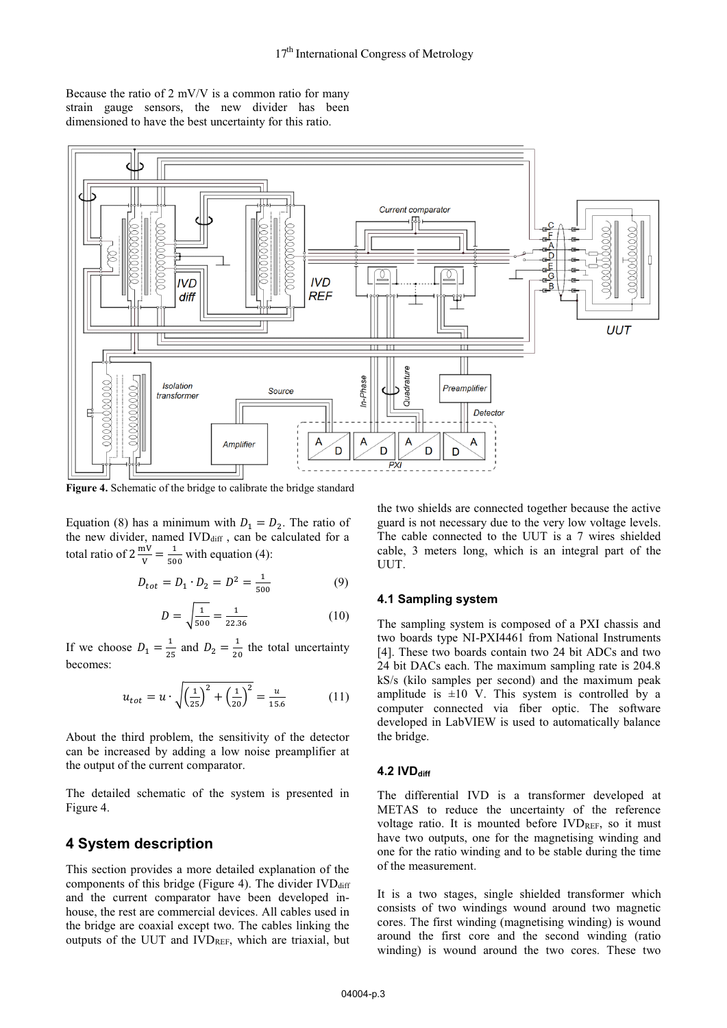Because the ratio of 2 mV/V is a common ratio for many strain gauge sensors, the new divider has been dimensioned to have the best uncertainty for this ratio.



**Figure 4.** Schematic of the bridge to calibrate the bridge standard

Equation (8) has a minimum with  $D_1 = D_2$ . The ratio of the new divider, named  $IVD_{diff}$ , can be calculated for a total ratio of  $2 \frac{mV}{V} = \frac{1}{500}$  with equation (4):

$$
D_{tot} = D_1 \cdot D_2 = D^2 = \frac{1}{500}
$$
 (9)

$$
D = \sqrt{\frac{1}{500}} = \frac{1}{22.36}
$$
 (10)

If we choose  $D_1 = \frac{1}{25}$  and  $D_2 = \frac{1}{20}$  the total uncertainty becomes:

$$
u_{tot} = u \cdot \sqrt{\left(\frac{1}{25}\right)^2 + \left(\frac{1}{20}\right)^2} = \frac{u}{15.6} \tag{11}
$$

About the third problem, the sensitivity of the detector can be increased by adding a low noise preamplifier at the output of the current comparator.

The detailed schematic of the system is presented in Figure 4.

# **4 System description**

This section provides a more detailed explanation of the components of this bridge (Figure 4). The divider  $IVD_{diff}$ and the current comparator have been developed inhouse, the rest are commercial devices. All cables used in the bridge are coaxial except two. The cables linking the outputs of the UUT and IVDREF, which are triaxial, but

the two shields are connected together because the active guard is not necessary due to the very low voltage levels. The cable connected to the UUT is a 7 wires shielded cable, 3 meters long, which is an integral part of the UUT.

#### **4.1 Sampling system**

The sampling system is composed of a PXI chassis and two boards type NI-PXI4461 from National Instruments [4]. These two boards contain two 24 bit ADCs and two 24 bit DACs each. The maximum sampling rate is 204.8 kS/s (kilo samples per second) and the maximum peak amplitude is  $\pm 10$  V. This system is controlled by a computer connected via fiber optic. The software developed in LabVIEW is used to automatically balance the bridge.

#### **4.2 IVD** diff

The differential IVD is a transformer developed at METAS to reduce the uncertainty of the reference voltage ratio. It is mounted before IVDREF, so it must have two outputs, one for the magnetising winding and one for the ratio winding and to be stable during the time of the measurement.

It is a two stages, single shielded transformer which consists of two windings wound around two magnetic cores. The first winding (magnetising winding) is wound around the first core and the second winding (ratio winding) is wound around the two cores. These two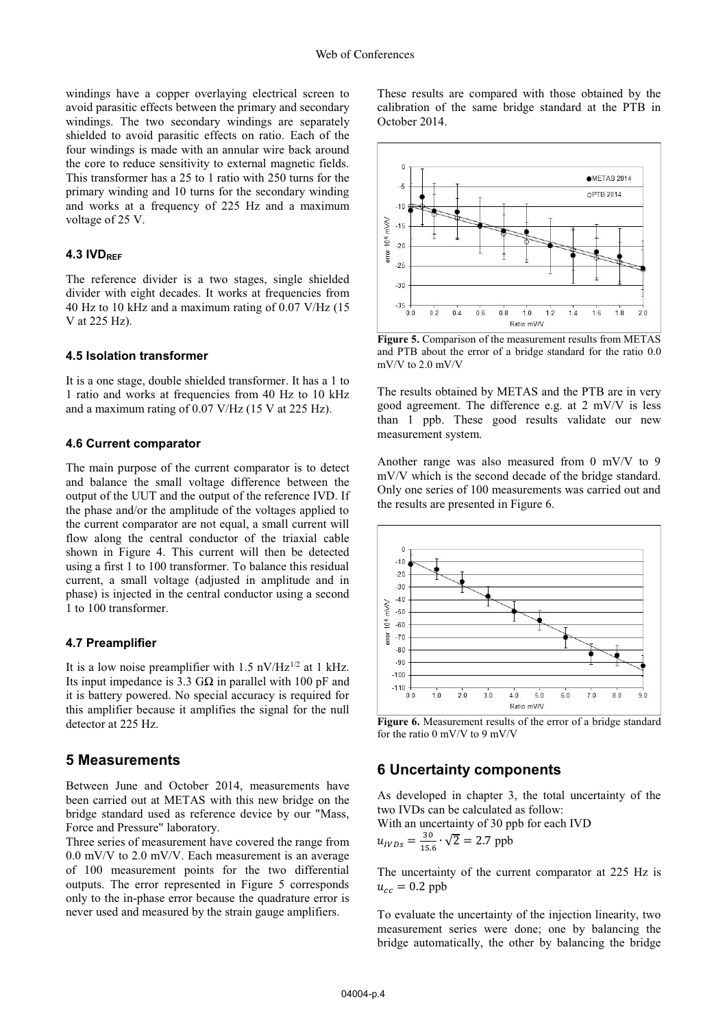windings have a copper overlaying electrical screen to avoid parasitic effects between the primary and secondary windings. The two secondary windings are separately shielded to avoid parasitic effects on ratio. Each of the four windings is made with an annular wire back around the core to reduce sensitivity to external magnetic fields. This transformer has a 25 to 1 ratio with 250 turns for the primary winding and 10 turns for the secondary winding and works at a frequency of 225 Hz and a maximum voltage of 25 V.

#### **4.3 IVDREF**

The reference divider is a two stages, single shielded divider with eight decades. It works at frequencies from 40 Hz to 10 kHz and a maximum rating of 0.07 V/Hz (15 V at 225 Hz).

#### **4.5 Isolation transformer**

It is a one stage, double shielded transformer. It has a 1 to 1 ratio and works at frequencies from 40 Hz to 10 kHz and a maximum rating of 0.07 V/Hz (15 V at 225 Hz).

#### **4.6 Current comparator**

The main purpose of the current comparator is to detect and balance the small voltage difference between the output of the UUT and the output of the reference IVD. If the phase and/or the amplitude of the voltages applied to the current comparator are not equal, a small current will flow along the central conductor of the triaxial cable shown in Figure 4. This current will then be detected using a first 1 to 100 transformer. To balance this residual current, a small voltage (adjusted in amplitude and in phase) is injected in the central conductor using a second 1 to 100 transformer.

#### **4.7 Preamplifier**

It is a low noise preamplifier with 1.5  $nV/Hz^{1/2}$  at 1 kHz. Its input impedance is 3.3 G $\Omega$  in parallel with 100 pF and it is battery powered. No special accuracy is required for this amplifier because it amplifies the signal for the null detector at 225 Hz.

# **5 Measurements**

Between June and October 2014, measurements have been carried out at METAS with this new bridge on the bridge standard used as reference device by our "Mass, Force and Pressure" laboratory.

Three series of measurement have covered the range from 0.0 mV/V to 2.0 mV/V. Each measurement is an average of 100 measurement points for the two differential outputs. The error represented in Figure 5 corresponds only to the in-phase error because the quadrature error is never used and measured by the strain gauge amplifiers.

These results are compared with those obtained by the calibration of the same bridge standard at the PTB in October 2014.



**Figure 5.** Comparison of the measurement results from METAS and PTB about the error of a bridge standard for the ratio 0.0 mV/V to 2.0 mV/V

The results obtained by METAS and the PTB are in very good agreement. The difference e.g. at 2 mV/V is less than 1 ppb. These good results validate our new measurement system.

Another range was also measured from 0 mV/V to 9 mV/V which is the second decade of the bridge standard. Only one series of 100 measurements was carried out and the results are presented in Figure 6.



**Figure 6.** Measurement results of the error of a bridge standard for the ratio 0 mV/V to 9 mV/V

#### **6 Uncertainty components**

As developed in chapter 3, the total uncertainty of the two IVDs can be calculated as follow:

With an uncertainty of 30 ppb for each IVD

$$
u_{IVDS} = \frac{30}{15.6} \cdot \sqrt{2} = 2.7 \text{ ppb}
$$

The uncertainty of the current comparator at 225 Hz is  $u_{cc} = 0.2$  ppb

To evaluate the uncertainty of the injection linearity, two measurement series were done; one by balancing the bridge automatically, the other by balancing the bridge